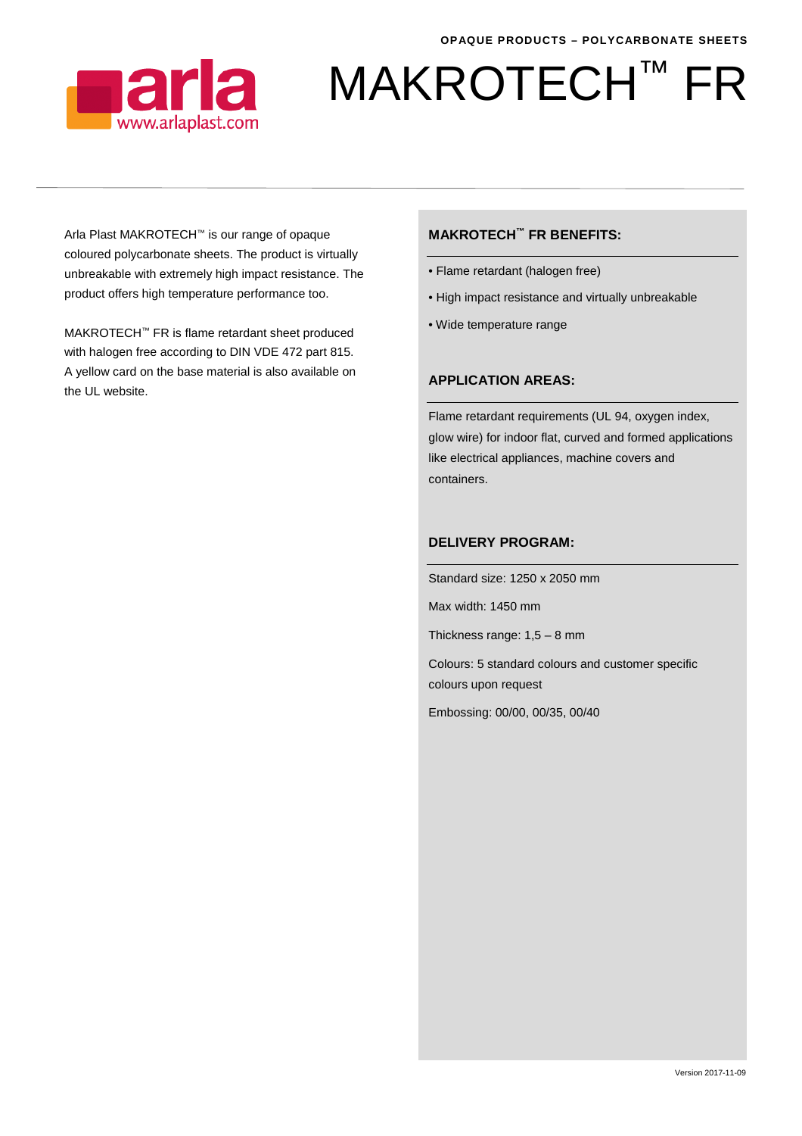

# MAKROTECH™ FR

Arla Plast MAKROTECH™ is our range of opaque coloured polycarbonate sheets. The product is virtually unbreakable with extremely high impact resistance. The product offers high temperature performance too.

MAKROTECH™ FR is flame retardant sheet produced with halogen free according to DIN VDE 472 part 815. A yellow card on the base material is also available on the UL website.

### **MAKROTECH™ FR BENEFITS:**

- Flame retardant (halogen free)
- High impact resistance and virtually unbreakable
- Wide temperature range

## **APPLICATION AREAS:**

Flame retardant requirements (UL 94, oxygen index, glow wire) for indoor flat, curved and formed applications like electrical appliances, machine covers and containers.

#### **DELIVERY PROGRAM:**

Standard size: 1250 x 2050 mm

Max width: 1450 mm

Thickness range: 1,5 – 8 mm

Colours: 5 standard colours and customer specific colours upon request

Embossing: 00/00, 00/35, 00/40